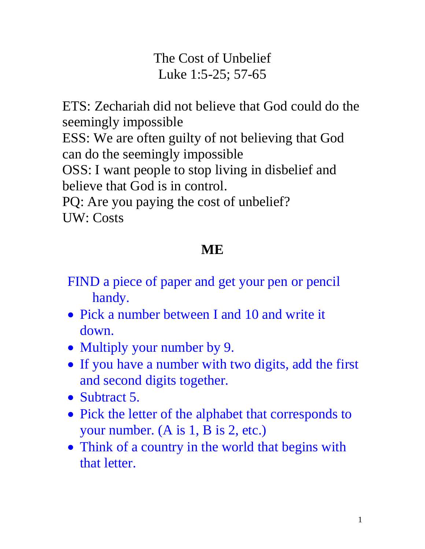The Cost of Unbelief Luke 1:5-25; 57-65

ETS: Zechariah did not believe that God could do the seemingly impossible

ESS: We are often guilty of not believing that God can do the seemingly impossible

OSS: I want people to stop living in disbelief and believe that God is in control.

PQ: Are you paying the cost of unbelief? UW: Costs

# **ME**

FIND a piece of paper and get your pen or pencil handy.

- Pick a number between I and 10 and write it down.
- Multiply your number by 9.
- If you have a number with two digits, add the first and second digits together.
- Subtract 5.
- Pick the letter of the alphabet that corresponds to your number. (A is 1, B is 2, etc.)
- Think of a country in the world that begins with that letter.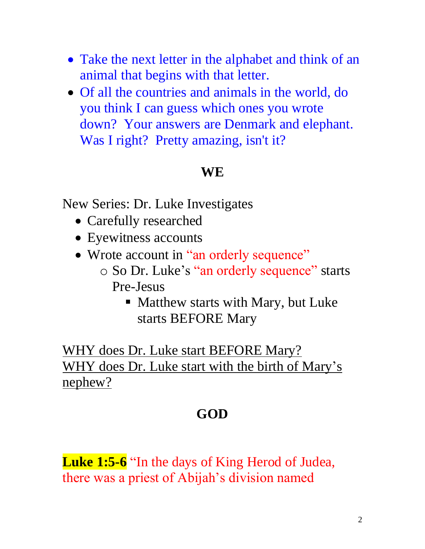- Take the next letter in the alphabet and think of an animal that begins with that letter.
- Of all the countries and animals in the world, do you think I can guess which ones you wrote down? Your answers are Denmark and elephant. Was I right? Pretty amazing, isn't it?

#### **WE**

New Series: Dr. Luke Investigates

- Carefully researched
- Eyewitness accounts
- Wrote account in "an orderly sequence"
	- o So Dr. Luke's "an orderly sequence" starts Pre-Jesus
		- Matthew starts with Mary, but Luke starts BEFORE Mary

WHY does Dr. Luke start BEFORE Mary? WHY does Dr. Luke start with the birth of Mary's nephew?

### **GOD**

**Luke 1:5-6** "In the days of King Herod of Judea, there was a priest of Abijah's division named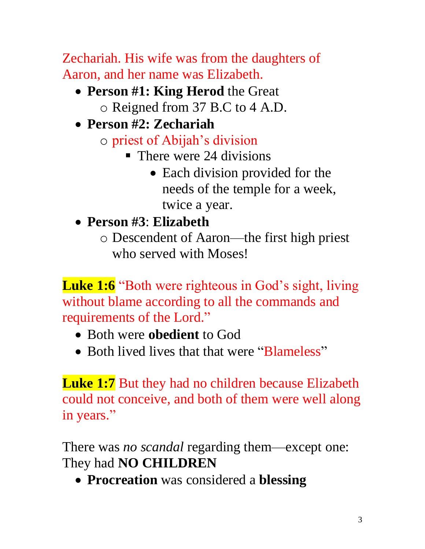Zechariah. His wife was from the daughters of Aaron, and her name was Elizabeth.

- **Person #1: King Herod** the Great o Reigned from 37 B.C to 4 A.D.
- **Person #2: Zechariah**
	- o priest of Abijah's division
		- $\blacksquare$  There were 24 divisions
			- Each division provided for the needs of the temple for a week, twice a year.
- **Person #3**: **Elizabeth**
	- o Descendent of Aaron—the first high priest who served with Moses!

**Luke 1:6** "Both were righteous in God's sight, living without blame according to all the commands and requirements of the Lord."

- Both were **obedient** to God
- Both lived lives that that were "Blameless"

**Luke 1:7** But they had no children because Elizabeth could not conceive, and both of them were well along in years."

There was *no scandal* regarding them—except one: They had **NO CHILDREN**

• **Procreation** was considered a **blessing**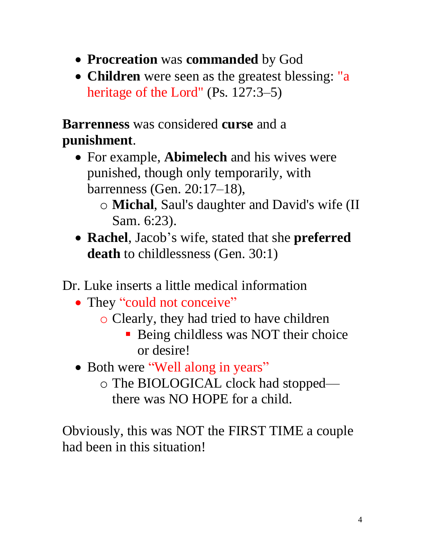- **Procreation** was **commanded** by God
- **Children** were seen as the greatest blessing: "a heritage of the Lord" (Ps. 127:3–5)

**Barrenness** was considered **curse** and a **punishment**.

- For example, **Abimelech** and his wives were punished, though only temporarily, with barrenness (Gen. 20:17–18),
	- o **Michal**, Saul's daughter and David's wife (II Sam. 6:23).
- **Rachel**, Jacob's wife, stated that she **preferred death** to childlessness (Gen. 30:1)

Dr. Luke inserts a little medical information

- They "could not conceive"
	- o Clearly, they had tried to have children
		- **Being childless was NOT their choice** or desire!
- Both were "Well along in years"
	- o The BIOLOGICAL clock had stopped there was NO HOPE for a child.

Obviously, this was NOT the FIRST TIME a couple had been in this situation!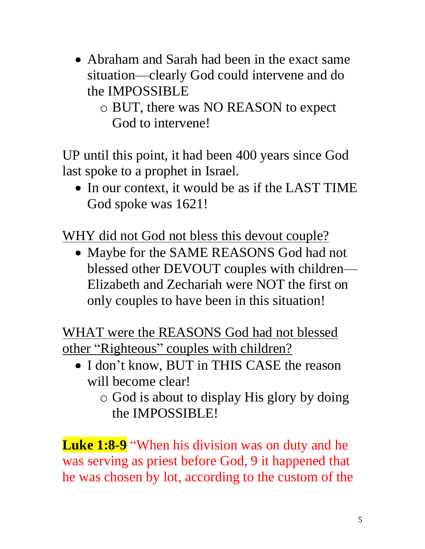- Abraham and Sarah had been in the exact same situation—clearly God could intervene and do the IMPOSSIBLE
	- o BUT, there was NO REASON to expect God to intervene!

UP until this point, it had been 400 years since God last spoke to a prophet in Israel.

• In our context, it would be as if the LAST TIME God spoke was 1621!

WHY did not God not bless this devout couple?

• Maybe for the SAME REASONS God had not blessed other DEVOUT couples with children— Elizabeth and Zechariah were NOT the first on only couples to have been in this situation!

WHAT were the REASONS God had not blessed other "Righteous" couples with children?

- I don't know, BUT in THIS CASE the reason will become clear!
	- o God is about to display His glory by doing the IMPOSSIBLE!

**Luke 1:8-9** "When his division was on duty and he was serving as priest before God, 9 it happened that he was chosen by lot, according to the custom of the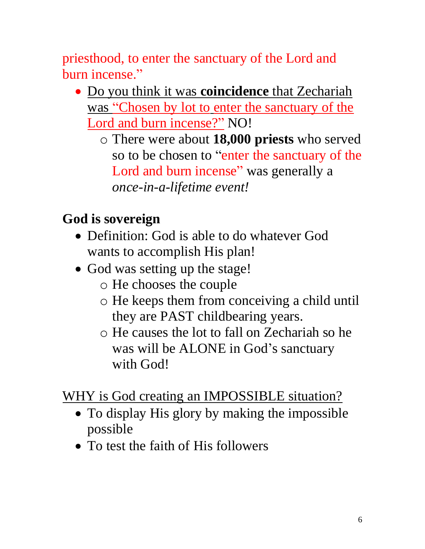priesthood, to enter the sanctuary of the Lord and burn incense."

- Do you think it was **coincidence** that Zechariah was "Chosen by lot to enter the sanctuary of the Lord and burn incense?" NO!
	- o There were about **18,000 priests** who served so to be chosen to "enter the sanctuary of the Lord and burn incense" was generally a *once-in-a-lifetime event!*

## **God is sovereign**

- Definition: God is able to do whatever God wants to accomplish His plan!
- God was setting up the stage!
	- o He chooses the couple
	- o He keeps them from conceiving a child until they are PAST childbearing years.
	- o He causes the lot to fall on Zechariah so he was will be ALONE in God's sanctuary with God!

WHY is God creating an IMPOSSIBLE situation?

- To display His glory by making the impossible possible
- To test the faith of His followers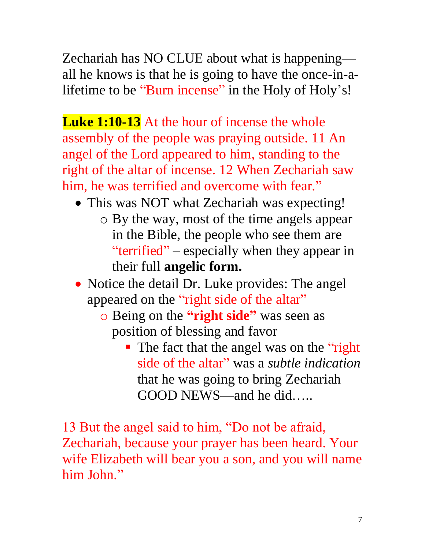Zechariah has NO CLUE about what is happening all he knows is that he is going to have the once-in-alifetime to be "Burn incense" in the Holy of Holy's!

**Luke 1:10-13** At the hour of incense the whole assembly of the people was praying outside. 11 An angel of the Lord appeared to him, standing to the right of the altar of incense. 12 When Zechariah saw him, he was terrified and overcome with fear."

- This was NOT what Zechariah was expecting!
	- o By the way, most of the time angels appear in the Bible, the people who see them are "terrified" – especially when they appear in their full **angelic form.**
- Notice the detail Dr. Luke provides: The angel appeared on the "right side of the altar"
	- o Being on the **"right side"** was seen as position of blessing and favor
		- The fact that the angel was on the "right" side of the altar" was a *subtle indication* that he was going to bring Zechariah GOOD NEWS—and he did…..

13 But the angel said to him, "Do not be afraid, Zechariah, because your prayer has been heard. Your wife Elizabeth will bear you a son, and you will name him John."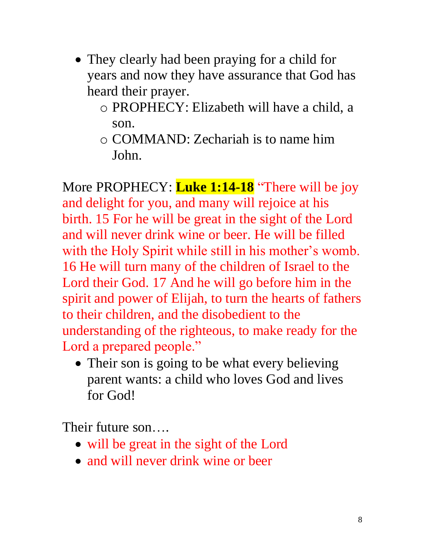- They clearly had been praying for a child for years and now they have assurance that God has heard their prayer.
	- o PROPHECY: Elizabeth will have a child, a son.
	- o COMMAND: Zechariah is to name him John.

More PROPHECY: **Luke 1:14-18** "There will be joy and delight for you, and many will rejoice at his birth. 15 For he will be great in the sight of the Lord and will never drink wine or beer. He will be filled with the Holy Spirit while still in his mother's womb. 16 He will turn many of the children of Israel to the Lord their God. 17 And he will go before him in the spirit and power of Elijah, to turn the hearts of fathers to their children, and the disobedient to the understanding of the righteous, to make ready for the Lord a prepared people."

• Their son is going to be what every believing parent wants: a child who loves God and lives for God!

Their future son….

- will be great in the sight of the Lord
- and will never drink wine or beer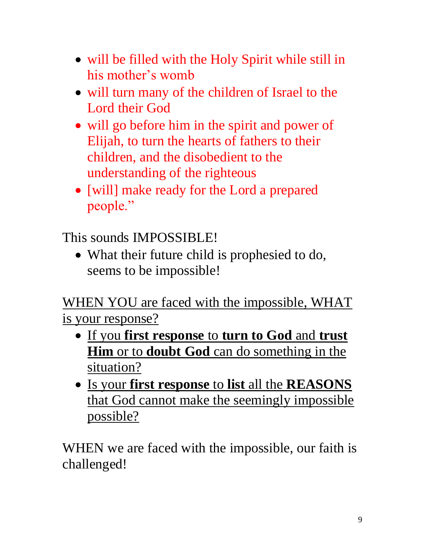- will be filled with the Holy Spirit while still in his mother's womb
- will turn many of the children of Israel to the Lord their God
- will go before him in the spirit and power of Elijah, to turn the hearts of fathers to their children, and the disobedient to the understanding of the righteous
- [will] make ready for the Lord a prepared people."

This sounds IMPOSSIBLE!

• What their future child is prophesied to do, seems to be impossible!

WHEN YOU are faced with the impossible, WHAT is your response?

- If you **first response** to **turn to God** and **trust Him** or to **doubt God** can do something in the situation?
- Is your **first response** to **list** all the **REASONS** that God cannot make the seemingly impossible possible?

WHEN we are faced with the impossible, our faith is challenged!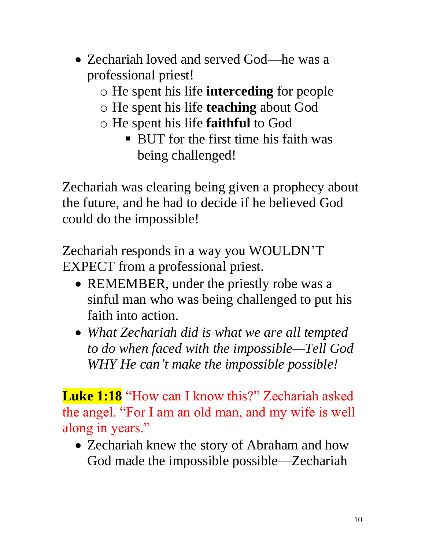- Zechariah loved and served God—he was a professional priest!
	- o He spent his life **interceding** for people
	- o He spent his life **teaching** about God
	- o He spent his life **faithful** to God
		- BUT for the first time his faith was being challenged!

Zechariah was clearing being given a prophecy about the future, and he had to decide if he believed God could do the impossible!

Zechariah responds in a way you WOULDN'T EXPECT from a professional priest.

- REMEMBER, under the priestly robe was a sinful man who was being challenged to put his faith into action.
- *What Zechariah did is what we are all tempted to do when faced with the impossible—Tell God WHY He can't make the impossible possible!*

**Luke 1:18** "How can I know this?" Zechariah asked the angel. "For I am an old man, and my wife is well along in years."

• Zechariah knew the story of Abraham and how God made the impossible possible—Zechariah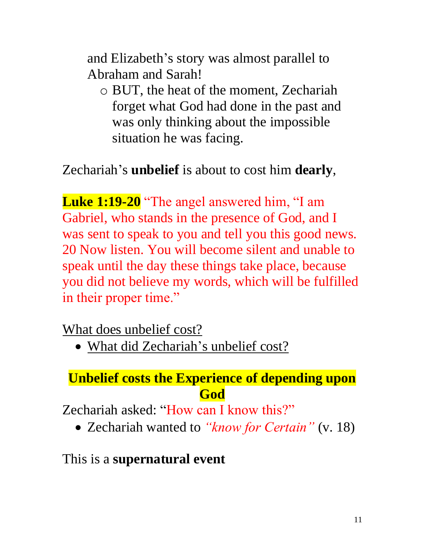and Elizabeth's story was almost parallel to Abraham and Sarah!

o BUT, the heat of the moment, Zechariah forget what God had done in the past and was only thinking about the impossible situation he was facing.

Zechariah's **unbelief** is about to cost him **dearly**,

**Luke 1:19-20** "The angel answered him, "I am Gabriel, who stands in the presence of God, and I was sent to speak to you and tell you this good news. 20 Now listen. You will become silent and unable to speak until the day these things take place, because you did not believe my words, which will be fulfilled in their proper time."

What does unbelief cost?

• What did Zechariah's unbelief cost?

### **Unbelief costs the Experience of depending upon God**

Zechariah asked: "How can I know this?"

• Zechariah wanted to *"know for Certain"* (v. 18)

#### This is a **supernatural event**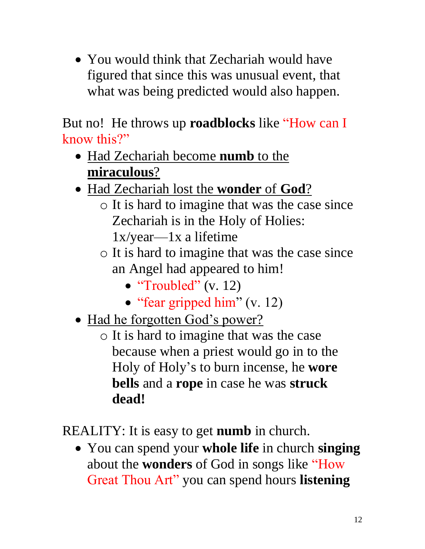• You would think that Zechariah would have figured that since this was unusual event, that what was being predicted would also happen.

But no! He throws up **roadblocks** like "How can I know this?"

- Had Zechariah become **numb** to the **miraculous**?
- Had Zechariah lost the **wonder** of **God**?
	- o It is hard to imagine that was the case since Zechariah is in the Holy of Holies: 1x/year—1x a lifetime
	- o It is hard to imagine that was the case since an Angel had appeared to him!
		- "Troubled" (v. 12)
		- "fear gripped him" (v. 12)
- Had he forgotten God's power?
	- o It is hard to imagine that was the case because when a priest would go in to the Holy of Holy's to burn incense, he **wore bells** and a **rope** in case he was **struck dead!**

REALITY: It is easy to get **numb** in church.

• You can spend your **whole life** in church **singing** about the **wonders** of God in songs like "How Great Thou Art" you can spend hours **listening**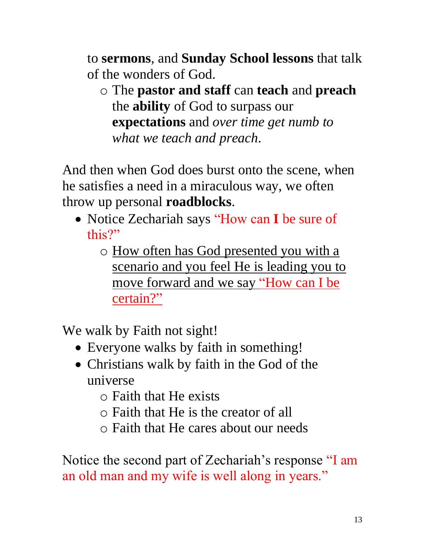to **sermons**, and **Sunday School lessons** that talk of the wonders of God.

o The **pastor and staff** can **teach** and **preach** the **ability** of God to surpass our **expectations** and *over time get numb to what we teach and preach*.

And then when God does burst onto the scene, when he satisfies a need in a miraculous way, we often throw up personal **roadblocks**.

- Notice Zechariah says "How can **I** be sure of this?"
	- o How often has God presented you with a scenario and you feel He is leading you to move forward and we say "How can I be certain?"

We walk by Faith not sight!

- Everyone walks by faith in something!
- Christians walk by faith in the God of the universe
	- o Faith that He exists
	- o Faith that He is the creator of all
	- o Faith that He cares about our needs

Notice the second part of Zechariah's response "I am an old man and my wife is well along in years."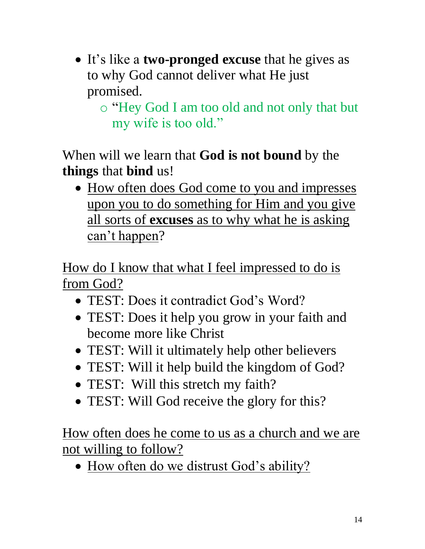• It's like a **two-pronged excuse** that he gives as to why God cannot deliver what He just promised.

o "Hey God I am too old and not only that but my wife is too old."

When will we learn that **God is not bound** by the **things** that **bind** us!

• How often does God come to you and impresses upon you to do something for Him and you give all sorts of **excuses** as to why what he is asking can't happen?

How do I know that what I feel impressed to do is from God?

- TEST: Does it contradict God's Word?
- TEST: Does it help you grow in your faith and become more like Christ
- TEST: Will it ultimately help other believers
- TEST: Will it help build the kingdom of God?
- TEST: Will this stretch my faith?
- TEST: Will God receive the glory for this?

How often does he come to us as a church and we are not willing to follow?

• How often do we distrust God's ability?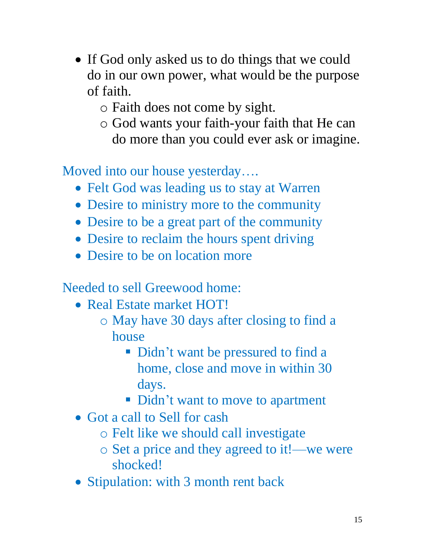- If God only asked us to do things that we could do in our own power, what would be the purpose of faith.
	- o Faith does not come by sight.
	- o God wants your faith-your faith that He can do more than you could ever ask or imagine.

Moved into our house yesterday….

- Felt God was leading us to stay at Warren
- Desire to ministry more to the community
- Desire to be a great part of the community
- Desire to reclaim the hours spent driving
- Desire to be on location more

Needed to sell Greewood home:

- Real Estate market HOT!
	- o May have 30 days after closing to find a house
		- **Didn't want be pressured to find a** home, close and move in within 30 days.
		- Didn't want to move to apartment
- Got a call to Sell for cash
	- o Felt like we should call investigate
	- o Set a price and they agreed to it!—we were shocked!
- Stipulation: with 3 month rent back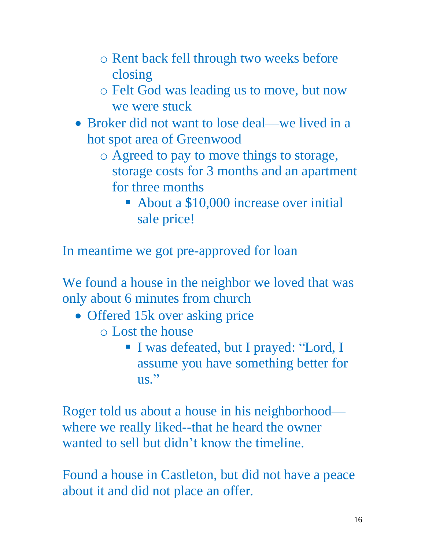- o Rent back fell through two weeks before closing
- o Felt God was leading us to move, but now we were stuck
- Broker did not want to lose deal—we lived in a hot spot area of Greenwood
	- o Agreed to pay to move things to storage, storage costs for 3 months and an apartment for three months
		- About a \$10,000 increase over initial sale price!

In meantime we got pre-approved for loan

We found a house in the neighbor we loved that was only about 6 minutes from church

- Offered 15k over asking price
	- o Lost the house
		- I was defeated, but I prayed: "Lord, I assume you have something better for  $\overline{\text{us}}$ ."

Roger told us about a house in his neighborhood where we really liked--that he heard the owner wanted to sell but didn't know the timeline.

Found a house in Castleton, but did not have a peace about it and did not place an offer.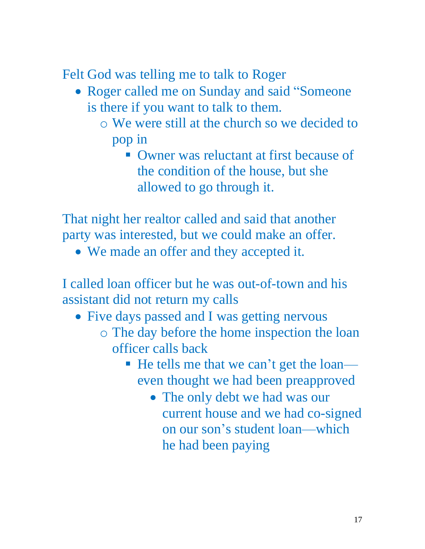Felt God was telling me to talk to Roger

- Roger called me on Sunday and said "Someone" is there if you want to talk to them.
	- o We were still at the church so we decided to pop in
		- Owner was reluctant at first because of the condition of the house, but she allowed to go through it.

That night her realtor called and said that another party was interested, but we could make an offer.

• We made an offer and they accepted it.

I called loan officer but he was out-of-town and his assistant did not return my calls

- Five days passed and I was getting nervous
	- o The day before the home inspection the loan officer calls back
		- He tells me that we can't get the loan even thought we had been preapproved
			- The only debt we had was our current house and we had co-signed on our son's student loan—which he had been paying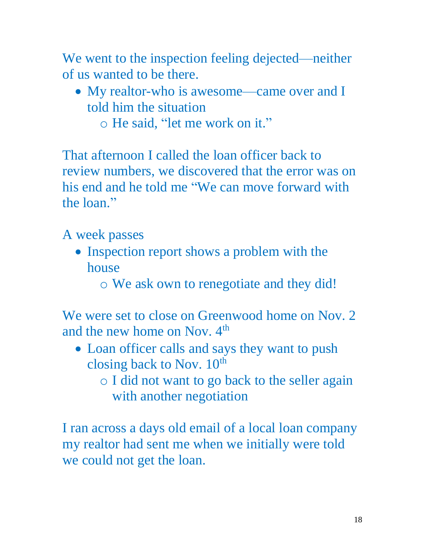We went to the inspection feeling dejected—neither of us wanted to be there.

- My realtor-who is awesome—came over and I told him the situation
	- o He said, "let me work on it."

That afternoon I called the loan officer back to review numbers, we discovered that the error was on his end and he told me "We can move forward with the loan."

A week passes

- Inspection report shows a problem with the house
	- o We ask own to renegotiate and they did!

We were set to close on Greenwood home on Nov. 2 and the new home on Nov.  $4<sup>th</sup>$ 

- Loan officer calls and says they want to push closing back to Nov.  $10^{th}$ 
	- o I did not want to go back to the seller again with another negotiation

I ran across a days old email of a local loan company my realtor had sent me when we initially were told we could not get the loan.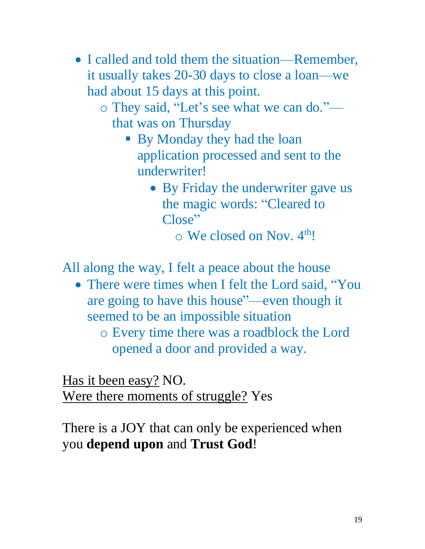- I called and told them the situation—Remember, it usually takes 20-30 days to close a loan—we had about 15 days at this point.
	- o They said, "Let's see what we can do." that was on Thursday
		- **By Monday they had the loan** application processed and sent to the underwriter!
			- By Friday the underwriter gave us the magic words: "Cleared to Close"

 $\circ$  We closed on Nov.  $4^{th}!$ 

All along the way, I felt a peace about the house

• There were times when I felt the Lord said, "You are going to have this house"—even though it seemed to be an impossible situation

o Every time there was a roadblock the Lord opened a door and provided a way.

Has it been easy? NO. Were there moments of struggle? Yes

There is a JOY that can only be experienced when you **depend upon** and **Trust God**!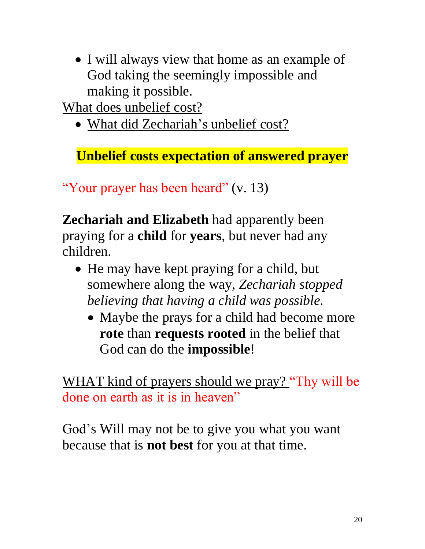• I will always view that home as an example of God taking the seemingly impossible and making it possible.

What does unbelief cost?

• What did Zechariah's unbelief cost?

**Unbelief costs expectation of answered prayer**

"Your prayer has been heard" (v. 13)

**Zechariah and Elizabeth** had apparently been praying for a **child** for **years**, but never had any children.

- He may have kept praying for a child, but somewhere along the way, *Zechariah stopped believing that having a child was possible.*
	- Maybe the prays for a child had become more **rote** than **requests rooted** in the belief that God can do the **impossible**!

WHAT kind of prayers should we pray? "Thy will be done on earth as it is in heaven"

God's Will may not be to give you what you want because that is **not best** for you at that time.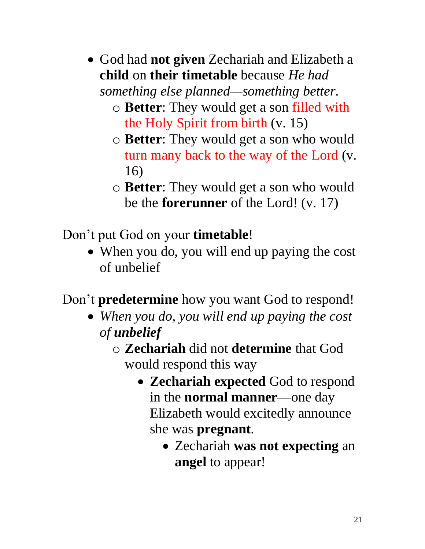• God had **not given** Zechariah and Elizabeth a **child** on **their timetable** because *He had* 

*something else planned—something better*.

- o **Better**: They would get a son filled with the Holy Spirit from birth (v. 15)
- o **Better**: They would get a son who would turn many back to the way of the Lord (v. 16)
- o **Better**: They would get a son who would be the **forerunner** of the Lord! (v. 17)

Don't put God on your **timetable**!

• When you do, you will end up paying the cost of unbelief

Don't **predetermine** how you want God to respond!

- *When you do, you will end up paying the cost of unbelief*
	- o **Zechariah** did not **determine** that God would respond this way
		- **Zechariah expected** God to respond in the **normal manner**—one day Elizabeth would excitedly announce she was **pregnant**.
			- Zechariah **was not expecting** an **angel** to appear!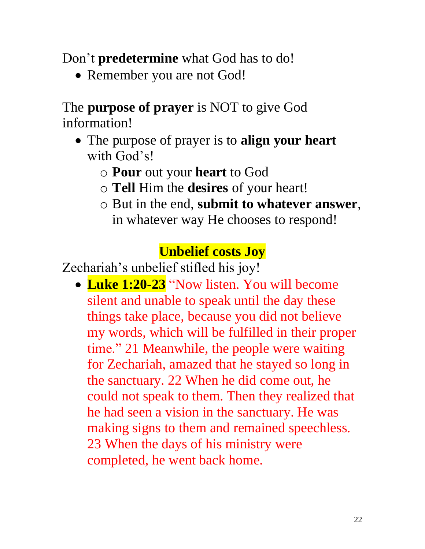Don't **predetermine** what God has to do!

• Remember you are not God!

The **purpose of prayer** is NOT to give God information!

- The purpose of prayer is to **align your heart** with God's!
	- o **Pour** out your **heart** to God
	- o **Tell** Him the **desires** of your heart!
	- o But in the end, **submit to whatever answer**, in whatever way He chooses to respond!

## **Unbelief costs Joy**

Zechariah's unbelief stifled his joy!

• **Luke 1:20-23** "Now listen. You will become silent and unable to speak until the day these things take place, because you did not believe my words, which will be fulfilled in their proper time." 21 Meanwhile, the people were waiting for Zechariah, amazed that he stayed so long in the sanctuary. 22 When he did come out, he could not speak to them. Then they realized that he had seen a vision in the sanctuary. He was making signs to them and remained speechless. 23 When the days of his ministry were completed, he went back home.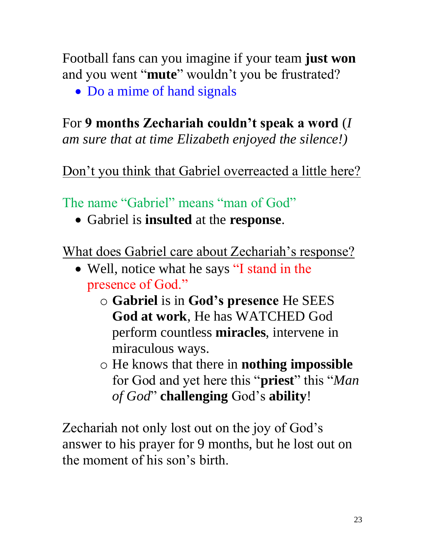Football fans can you imagine if your team **just won** and you went "**mute**" wouldn't you be frustrated?

• Do a mime of hand signals

### For **9 months Zechariah couldn't speak a word** (*I*

*am sure that at time Elizabeth enjoyed the silence!)*

Don't you think that Gabriel overreacted a little here?

The name "Gabriel" means "man of God"

• Gabriel is **insulted** at the **response**.

What does Gabriel care about Zechariah's response?

- Well, notice what he says "I stand in the presence of God."
	- o **Gabriel** is in **God's presence** He SEES **God at work**, He has WATCHED God perform countless **miracles**, intervene in miraculous ways.
	- o He knows that there in **nothing impossible** for God and yet here this "**priest**" this "*Man of God*" **challenging** God's **ability**!

Zechariah not only lost out on the joy of God's answer to his prayer for 9 months, but he lost out on the moment of his son's birth.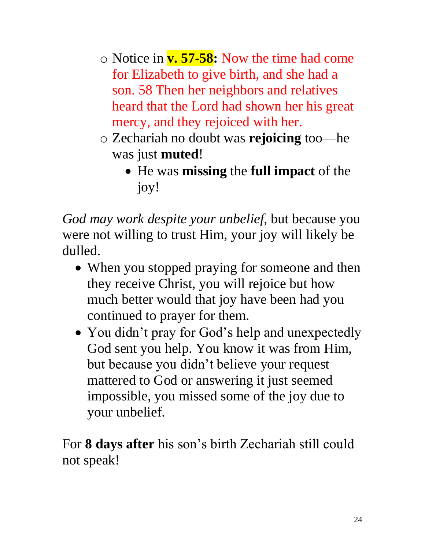- o Notice in **v. 57-58:** Now the time had come for Elizabeth to give birth, and she had a son. 58 Then her neighbors and relatives heard that the Lord had shown her his great mercy, and they rejoiced with her.
- o Zechariah no doubt was **rejoicing** too—he was just **muted**!
	- He was **missing** the **full impact** of the joy!

*God may work despite your unbelief*, but because you were not willing to trust Him, your joy will likely be dulled.

- When you stopped praying for someone and then they receive Christ, you will rejoice but how much better would that joy have been had you continued to prayer for them.
- You didn't pray for God's help and unexpectedly God sent you help. You know it was from Him, but because you didn't believe your request mattered to God or answering it just seemed impossible, you missed some of the joy due to your unbelief.

For **8 days after** his son's birth Zechariah still could not speak!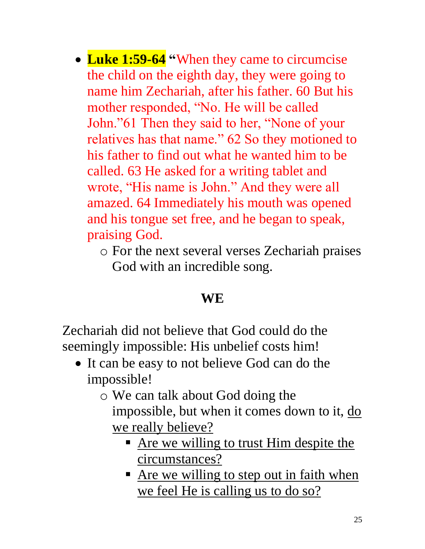- **Luke 1:59-64 "**When they came to circumcise the child on the eighth day, they were going to name him Zechariah, after his father. 60 But his mother responded, "No. He will be called John."61 Then they said to her, "None of your relatives has that name." 62 So they motioned to his father to find out what he wanted him to be called. 63 He asked for a writing tablet and wrote, "His name is John." And they were all amazed. 64 Immediately his mouth was opened and his tongue set free, and he began to speak, praising God.
	- o For the next several verses Zechariah praises God with an incredible song.

#### **WE**

Zechariah did not believe that God could do the seemingly impossible: His unbelief costs him!

- It can be easy to not believe God can do the impossible!
	- o We can talk about God doing the impossible, but when it comes down to it, do we really believe?
		- **E** Are we willing to trust Him despite the circumstances?
		- **E** Are we willing to step out in faith when we feel He is calling us to do so?